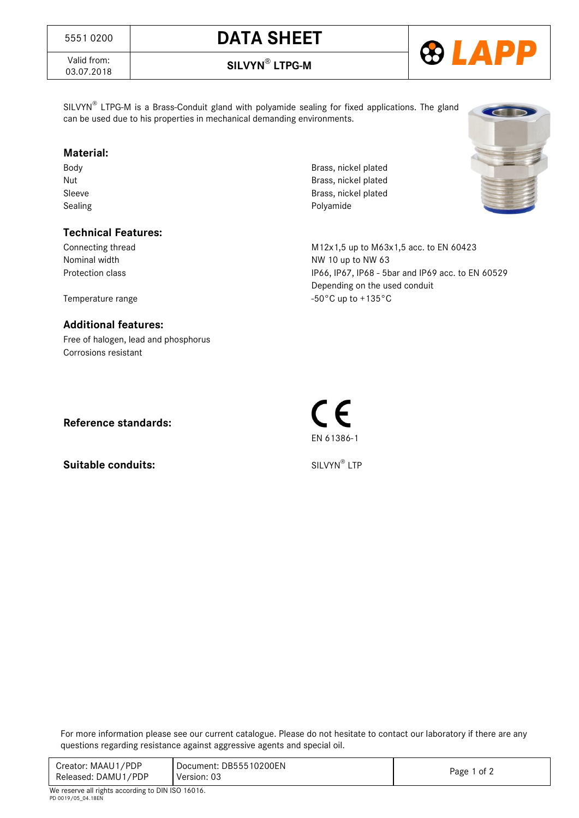# 5551 0200 **DATA SHEET**

Valid from:<br>03.07.2018

**Calld from:**<br>03.07.2018 **SILVYN<sup>®</sup> LTPG-M** 

SILVYN<sup>®</sup> LTPG-M is a Brass-Conduit gland with polyamide sealing for fixed applications. The gland can be used due to his properties in mechanical demanding environments.

#### **Material:**

### **Technical Features:**

Body Brass, nickel plated Nut **Brass**, nickel plated Sleeve Brass, nickel plated Sealing Polyamide



#### **Additional features:**

Free of halogen, lead and phosphorus Corrosions resistant

**Reference standards:**

**Suitable conduits:** 

SILVYN® LTP

EN 61386-1

For more information please see our current catalogue. Please do not hesitate to contact our laboratory if there are any questions regarding resistance against aggressive agents and special oil.

| Creator: MAAU1/PDP  | Document: DB55510200EN |             |
|---------------------|------------------------|-------------|
| Released: DAMU1/PDP | Version: 03            | Page 1 of 2 |